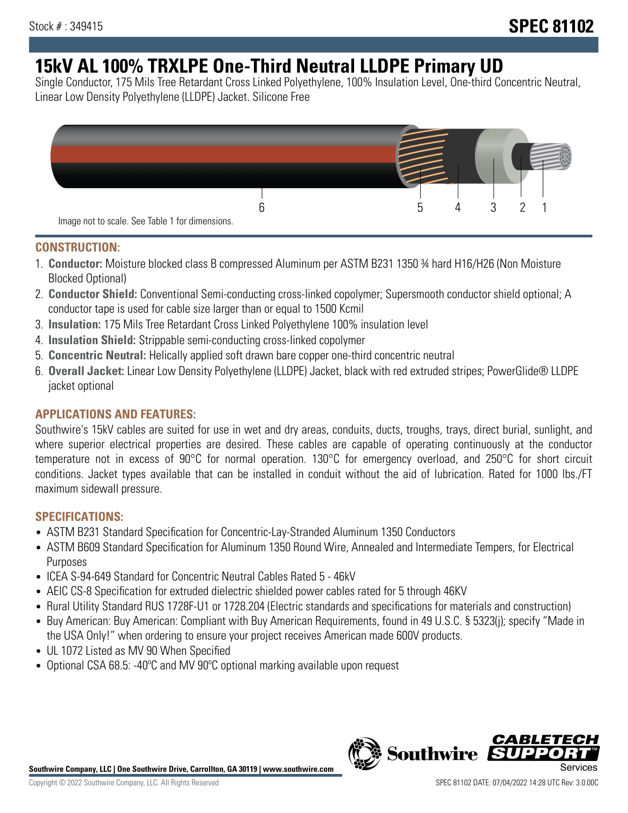# **15kV AL 100% TRXLPE One-Third Neutral LLDPE Primary UD**

Single Conductor, 175 Mils Tree Retardant Cross Linked Polyethylene, 100% Insulation Level, One-third Concentric Neutral, Linear Low Density Polyethylene (LLDPE) Jacket. Silicone Free



### **CONSTRUCTION:**

- 1. **Conductor:** Moisture blocked class B compressed Aluminum per ASTM B231 1350 ¾ hard H16/H26 (Non Moisture Blocked Optional)
- 2. **Conductor Shield:** Conventional Semi-conducting cross-linked copolymer; Supersmooth conductor shield optional; A conductor tape is used for cable size larger than or equal to 1500 Kcmil
- 3. **Insulation:** 175 Mils Tree Retardant Cross Linked Polyethylene 100% insulation level
- 4. **Insulation Shield:** Strippable semi-conducting cross-linked copolymer
- 5. **Concentric Neutral:** Helically applied soft drawn bare copper one-third concentric neutral
- 6. **Overall Jacket:** Linear Low Density Polyethylene (LLDPE) Jacket, black with red extruded stripes; PowerGlide® LLDPE jacket optional

### **APPLICATIONS AND FEATURES:**

Southwire's 15kV cables are suited for use in wet and dry areas, conduits, ducts, troughs, trays, direct burial, sunlight, and where superior electrical properties are desired. These cables are capable of operating continuously at the conductor temperature not in excess of 90°C for normal operation. 130°C for emergency overload, and 250°C for short circuit conditions. Jacket types available that can be installed in conduit without the aid of lubrication. Rated for 1000 lbs./FT maximum sidewall pressure.

### **SPECIFICATIONS:**

- ASTM B231 Standard Specification for Concentric-Lay-Stranded Aluminum 1350 Conductors
- ASTM B609 Standard Specification for Aluminum 1350 Round Wire, Annealed and Intermediate Tempers, for Electrical Purposes
- ICEA S-94-649 Standard for Concentric Neutral Cables Rated 5 46kV
- AEIC CS-8 Specification for extruded dielectric shielded power cables rated for 5 through 46KV
- Rural Utility Standard RUS 1728F-U1 or 1728.204 (Electric standards and specifications for materials and construction)
- Buy American: Buy American: Compliant with Buy American Requirements, found in 49 U.S.C. § 5323(j); specify "Made in the USA Only!" when ordering to ensure your project receives American made 600V products.
- UL 1072 Listed as MV 90 When Specified
- Optional CSA 68.5: -40°C and MV 90°C optional marking available upon request



*CABLE*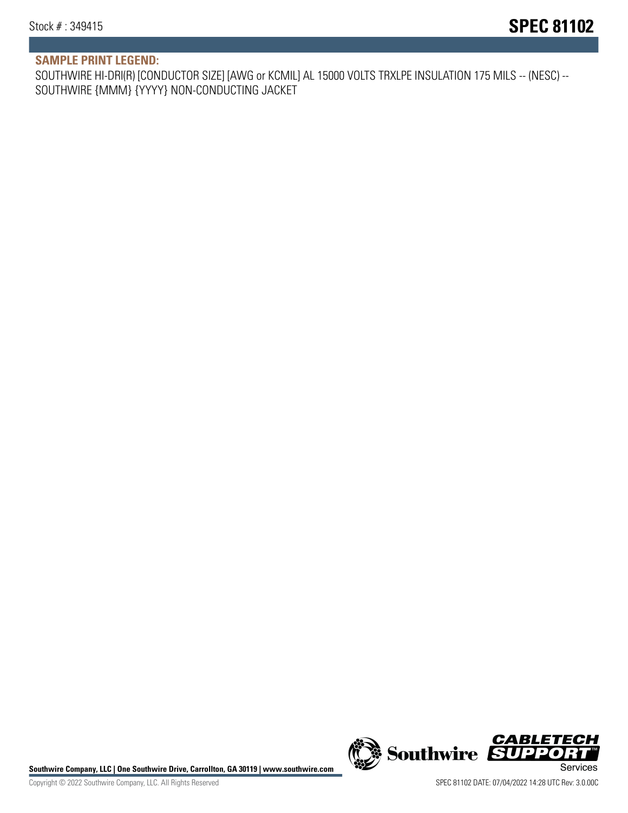# **SAMPLE PRINT LEGEND:**

SOUTHWIRE HI-DRI(R) [CONDUCTOR SIZE] [AWG or KCMIL] AL 15000 VOLTS TRXLPE INSULATION 175 MILS -- (NESC) -- SOUTHWIRE {MMM} {YYYY} NON-CONDUCTING JACKET